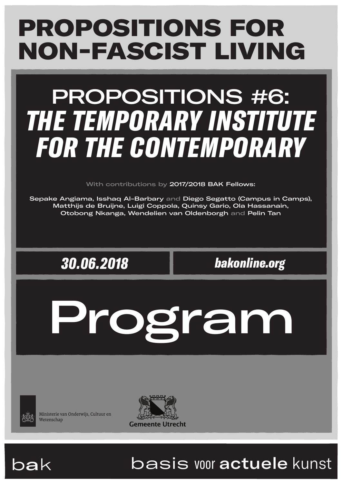# PROPOSITIONS FOR NON-FASCIST LIVING

# PROPOSITIONS #6: *THE TEMPORARY INSTITUTE FOR THE CONTEMPORARY*

With contributions by 2017/2018 BAK Fellows:

Sepake Angiama, Isshaq Al-Barbary and Diego Segatto (Campus in Camps), Matthijs de Bruijne, Luigi Coppola, Quinsy Gario, Ola Hassanain, Otobong Nkanga, Wendelien van Oldenborgh and Pelin Tan

*30.06.2018 bakonline.org*

Program



Ministerie van Onderwiis, Cultuur en Wetenschap





# bak basis voor actuele kunst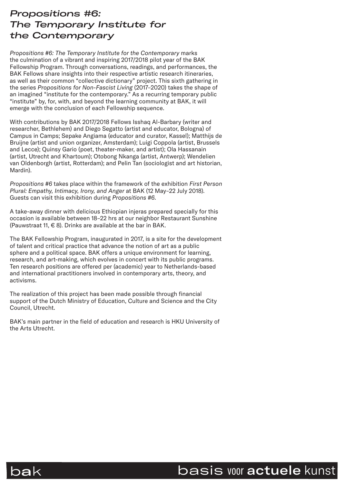# *Propositions #6: The Temporary Institute for the Contemporary*

*Propositions #6: The Temporary Institute for the Contemporary* marks the culmination of a vibrant and inspiring 2017/2018 pilot year of the BAK Fellowship Program. Through conversations, readings, and performances, the BAK Fellows share insights into their respective artistic research itineraries, as well as their common "collective dictionary" project. This sixth gathering in the series *Propositions for Non-Fascist Living* (2017–2020) takes the shape of an imagined "institute for the contemporary." As a recurring temporary public "institute" by, for, with, and beyond the learning community at BAK, it will emerge with the conclusion of each Fellowship sequence.

With contributions by BAK 2017/2018 Fellows Isshaq Al-Barbary (writer and researcher, Bethlehem) and Diego Segatto (artist and educator, Bologna) of Campus in Camps; Sepake Angiama (educator and curator, Kassel); Matthijs de Bruijne (artist and union organizer, Amsterdam); Luigi Coppola (artist, Brussels and Lecce); Quinsy Gario (poet, theater-maker, and artist); Ola Hassanain (artist, Utrecht and Khartoum); Otobong Nkanga (artist, Antwerp); Wendelien van Oldenborgh (artist, Rotterdam); and Pelin Tan (sociologist and art historian, Mardin).

*Propositions #6* takes place within the framework of the exhibition *First Person Plural: Empathy, Intimacy, Irony, and Anger* at BAK (12 May–22 July 2018). Guests can visit this exhibition during *Propositions #6.*

A take-away dinner with delicious Ethiopian injeras prepared specially for this occasion is available between 18–22 hrs at our neighbor Restaurant Sunshine (Pauwstraat 11,  $\in$  8). Drinks are available at the bar in BAK.

The BAK Fellowship Program, inaugurated in 2017, is a site for the development of talent and critical practice that advance the notion of art as a public sphere and a political space. BAK offers a unique environment for learning, research, and art-making, which evolves in concert with its public programs. Ten research positions are offered per (academic) year to Netherlands-based and international practitioners involved in contemporary arts, theory, and activisms.

The realization of this project has been made possible through financial support of the Dutch Ministry of Education, Culture and Science and the City Council, Utrecht.

BAK's main partner in the field of education and research is HKU University of the Arts Utrecht.



# bak basis voor actuele kunst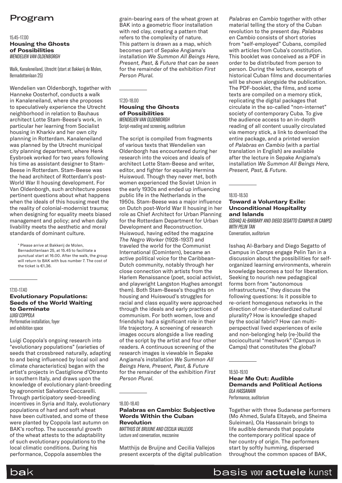# Program

#### 15.45–17.00

**Housing the Ghosts of Possibilities**  *WENDELIEN VAN OLDENBORGH*

Walk, Kanaleneiland, Utrecht (start at Bakkerij de Molen, Bernadottenlaan 25)

Wendelien van Oldenborgh, together with Hanneke Oosterhof, conducts a walk in Kanaleneiland, where she proposes to speculatively experience the Utrecht neighborhood in relation to Bauhaus architect Lotte Stam-Beese's work, in particular her learning from Socialist housing in Kharkiv and her own city planning in Rotterdam. Kanaleneiland was planned by the Utrecht municipal city planning department, where Henk Eysbroek worked for two years following his time as assistant designer to Stam-Beese in Rotterdam. Stam-Beese was the head architect of Rotterdam's post-World War II housing development. For Van Oldenborgh, such architecture poses pertinent questions about what happens when the ideals of this housing meet the the reality of colonial-modernist trauma; when designing for equality meets biased management and policy; and when daily livability meets the aesthetic and moral standards of dominant culture.

\* Please arrive at Bakkerij de Molen, Bernadottenlaan 25, at 15.45 to facilitate a punctual start at 16.00. After the walk, the group will return to BAK with bus number 7. The cost of the ticket is €1,36.

#### 17.10–17.40 **Evolutionary Populations: Seeds of the World Waiting to Germinate** *LUIGI COPPOLA*

Performative installation, foyer and exhibition space

Luigi Coppola's ongoing research into "evolutionary populations" (varieties of seeds that crossbreed naturally, adapting to and being influenced by local soil and climate characteristics) began with the artist's projects in Castiglione d'Otranto in southern Italy, and draws upon the knowledge of evolutionary plant-breeding by agronomist Salvatore Ceccarelli. Through participatory seed-breeding incentives in Syria and Italy, evolutionary populations of hard and soft wheat have been cultivated, and some of these were planted by Coppola last autumn on BAK's rooftop. The successful growth of the wheat attests to the adaptability of such evolutionary populations to the local climatic conditions. During his performance, Coppola assembles the

grain-bearing ears of the wheat grown at BAK into a geometric floor installation with red clay, creating a pattern that refers to the complexity of nature. This pattern is drawn as a map, which becomes part of Sepake Angiama's installation *We Summon All Beings Here, Present, Past, & Future that can be seen* for the remainder of the exhibition *First Person Plural.*

#### 17.20–18.00 **Housing the Ghosts of Possibilities** *WENDELIEN VAN OLDENBORGH*

Script-reading and screening, auditorium

The script is compiled from fragments of various texts that Wendelien van Oldenborgh has encountered during her research into the voices and ideals of architect Lotte Stam-Beese and writer, editor, and fighter for equality Hermina Huiswoud. Though they never met, both women experienced the Soviet Union in the early 1930s and ended up influencing public life in the Netherlands in the 1950s. Stam-Beese was a major influence on Dutch post-World War II housing in her role as Chief Architect for Urban Planning for the Rotterdam Department for Urban Development and Reconstruction. Huiswoud, having edited the magazine *The Negro Worker* (1928–1937) and traveled the world for the Communist International (Comintern), became an active political voice for the Caribbean-Dutch community, notably through her close connection with artists from the Harlem Renaissance (poet, social activist, and playwright Langston Hughes amongst them). Both Stam-Beese's thoughts on housing and Huiswoud's struggles for racial and class equality were approached through the ideals and early practices of communism. For both women, love and friendship had a significant role in their life trajectory. A screening of research images occurs alongside a live reading of the script by the artist and four other readers. A continuous screening of the research images is viewable in Sepake Angiama's installation *We Summon All Beings Here, Present, Past, & Future* for the remainder of the exhibition *First Person Plural.*

#### 18.00–18.40

#### **Palabras en Cambio: Subjective Words Within the Cuban Revolution**

*MATTHIJS DE BRUIJNE AND CECILIA VALLEJOS* Lecture and conversation, mezzanine

Matthijs de Bruijne and Cecilia Vallejos present excerpts of the digital publication

*Palabras en Cambio* together with other material telling the story of the Cuban revolution to the present day. *Palabras en Cambio* consists of short stories from "self-employed" Cubans, compiled with articles from Cuba's constitution. This booklet was conceived as a PDF in order to be distributed from person to person. During the lecture, excerpts of historical Cuban films and documentaries will be shown alongside the publication. The PDF-booklet, the films, and some texts are compiled on a memory stick, replicating the digital packages that circulate in the so-called "non-internet" society of contemporary Cuba. To give the audience access to an in-depth reading of all content usually circulated via memory stick, a link to download the entire package, and a printed version of *Palabras en Cambio* (with a partial translation in English) are available after the lecture in Sepake Angiama's installation *We Summon All Beings Here, Present, Past, & Future.*

#### 18.10–18.50

#### **Toward a Voluntary Exile: Unconditional Hospitality and Islands**

*ISSHAQ AL-BARBARY AND DIEGO SEGATTO (CAMPUS IN CAMPS) WITH PELIN TAN*  Conversation, auditorium

Isshaq Al-Barbary and Diego Segatto of Campus in Camps engage Pelin Tan in a discussion about the possibilities for selforganized learning environments, wherein knowledge becomes a tool for liberation. Seeking to nourish new pedagogical forms born from "autonomous infrastructures," they discuss the following questions: Is it possible to re-orient homogenous networks in the direction of non-standardized cultural plurality? How is knowledge shaped by the social fabric? How can multiperspectival lived experiences of exile and non-belonging help (re-)build the sociocultural "meshwork" (Campus in Camps) that constitutes the global?

#### 18.50–19.10

**Hear Me Out: Audible Demands and Political Actions** *OLA HASSANAIN* Performance, auditorium

Together with three Sudanese performers (Mo Ahmed, Sulafa Eltayeb, and Sheima Suleiman), Ola Hassanain brings to life audible demands that populate the contemporary political space of her country of origin. The performers start by softly humming, dispersed throughout the common spaces of BAK,



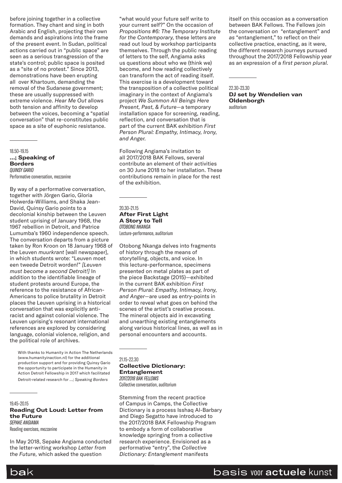before joining together in a collective formation. They chant and sing in both Arabic and English, projecting their own demands and aspirations into the frame of the present event. In Sudan, political actions carried out in "public space" are seen as a serious transgression of the state's control; public space is posited as a "site of no protest." Since 2013, demonstrations have been erupting all over Khartoum, demanding the removal of the Sudanese government; these are usually suppressed with extreme violence. *Hear Me Out* allows both tension and affinity to develop between the voices, becoming a "spatial conversation" that re-constitutes public space as a site of euphonic resistance.

18.50–19.15 **…; Speaking of Borders** *QUINSY GARIO*  Performative conversation, mezzanine

By way of a performative conversation, together with Jörgen Gario, Gloria Holwerda-Williams, and Shaka Jean-David, Quinsy Gario points to a decolonial kinship between the Leuven student uprising of January 1968, the 1967 rebellion in Detroit, and Patrice Lumumba's 1960 independence speech. The conversation departs from a picture taken by Ron Kroon on 18 January 1968 of the Leuven *muurkrant* [wall newspaper], in which students wrote: "Leuven moet een tweede Detroit worden!" *[Leuven must become a second Detroit!]* In addition to the identifiable lineage of student protests around Europe, the reference to the resistance of African-Americans to police brutality in Detroit places the Leuven uprising in a historical conversation that was explicitly antiracist and against colonial violence. The Leuven uprising's resonant international references are explored by considering language, colonial violence, religion, and the political role of archives.

 With thanks to Humanity in Action The Netherlands (www.humanityinaction.nl) for the additional production support and for providing Quinsy Gario the opportunity to participate in the Humanity in Action Detroit Fellowship in 2017 which facilitated Detroit-related research for *…; Speaking Borders*

19.45–20.15 **Reading Out Loud: Letter from the Future** *SEPAKE ANGIAMA* Reading exercises, mezzanine

In May 2018, Sepake Angiama conducted the letter-writing workshop *Letter from the Future,* which asked the question

"what would your future self write to your current self?" On the occasion of *Propositions #6: The Temporary Institute for the Contemporary,* these letters are read out loud by workshop participants themselves. Through the public reading of letters to the self, Angiama asks us questions about who we (think we) become, and how reading collectively can transform the act of reading itself. This exercise is a development toward the transposition of a collective political imaginary in the context of Angiama's project *We Summon All Beings Here Present, Past, & Future*—a temporary installation space for screening, reading, reflection, and conversation that is part of the current BAK exhibition *First Person Plural: Empathy, Intimacy, Irony, and Anger.*

Following Angiama's invitation to all 2017/2018 BAK Fellows, several contribute an element of their activities on 30 June 2018 to her installation. These contributions remain in place for the rest of the exhibition.

#### 20.30–21.15 **After First Light A Story to Tell** *OTOBONG NKANGA* Lecture-performance, auditorium

Otobong Nkanga delves into fragments of history through the means of storytelling, objects, and voice. In this lecture-performance, specimens presented on metal plates as part of the piece Backstage (2015)—exhibited in the current BAK exhibition *First Person Plural: Empathy, Intimacy, Irony, and Anger*—are used as entry-points in order to reveal what goes on behind the scenes of the artist's creative process. The mineral objects aid in excavating and unearthing existing entanglements along various historical lines, as well as in personal encounters and accounts.

21.15–22.30

**Collective Dictionary: Entanglement** *2017/2018 BAK FELLOWS* Collective conversation, auditorium

Stemming from the recent practice of Campus in Camps, the Collective Dictionary is a process Isshaq Al-Barbary and Diego Segatto have introduced to the 2017/2018 BAK Fellowship Program to embody a form of collaborative knowledge springing from a collective research experience. Envisioned as a performative "entry", the *Collective Dictionary: Entanglement* manifests

itself on this occasion as a conversation between BAK Fellows. The Fellows join the conversation *on* "entanglement" and *as* "entanglement," to reflect on their collective practice, enacting, as it were, the different research journeys pursued throughout the 2017/2018 Fellowship year as an expression of a *first person plural.*

22.30–23.30

**DJ set by Wendelien van Oldenborgh** auditorium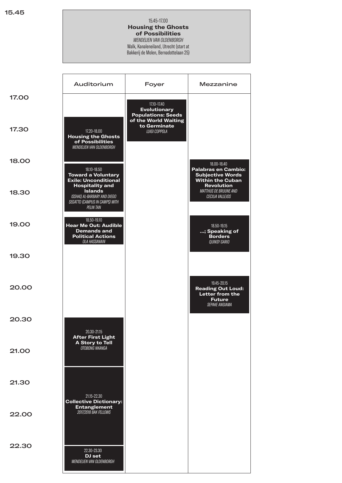#### 15.45–17.00 **Housing the Ghosts of Possibilities** *WENDELIEN VAN OLDENBORGH* Walk, Kanaleneiland, Utrecht (start at

Bakkerij de Molen, Bernadottelaan 25)

|              | Auditorium                                                                                                                    | Foyer                                                                                   | Mezzanine                                                                                            |
|--------------|-------------------------------------------------------------------------------------------------------------------------------|-----------------------------------------------------------------------------------------|------------------------------------------------------------------------------------------------------|
| <b>17.00</b> |                                                                                                                               | 17.10-17.40<br><b>Evolutionary</b><br><b>Populations: Seeds</b><br>of the World Waiting |                                                                                                      |
| 17.30        | 17.20-18.00<br><b>Housing the Ghosts</b><br>of Possibilities<br><b>WENDELIEN VAN OLDENBORGH</b>                               | to Germinate<br><b>LUIGI COPPOLA</b>                                                    |                                                                                                      |
| 18.00        | 18.10-18.50<br><b>Toward a Voluntary</b><br><b>Exile: Unconditional</b>                                                       |                                                                                         | 18.00-18.40<br><b>Palabras en Cambio:</b><br><b>Subjective Words</b><br><b>Within the Cuban</b>      |
| 18.30        | <b>Hospitality and</b><br><b>Islands</b><br>ISSHAQ AL-BARBARY AND DIEGO<br>SEGATTO (CAMPUS IN CAMPS) WITH<br><b>PELIN TAN</b> |                                                                                         | <b>Revolution</b><br>MATTHIJS DE BRUIJNE AND<br>CECILIA VALLEJOS                                     |
| 19.00        | 18.50-19.10<br><b>Hear Me Out: Audible</b><br><b>Demands and</b><br><b>Political Actions</b><br>OLA HASSANAIN                 |                                                                                         | 18.50-19.15<br>; Speaking of<br><b>Borders</b><br><b>QUINSY GARIO</b>                                |
| 19.30        |                                                                                                                               |                                                                                         |                                                                                                      |
| 20.00        |                                                                                                                               |                                                                                         | 19.45-20.15<br><b>Reading Out Loud:</b><br>Letter from the<br><b>Future</b><br><b>SEPAKE ANGIAMA</b> |
| 20.30        | 20.30-21.15<br><b>After First Light</b><br><b>A Story to Tell</b>                                                             |                                                                                         |                                                                                                      |
| 21.00        | OTOBONG NKANGA                                                                                                                |                                                                                         |                                                                                                      |
| 21.30        | 21.15-22.30<br><b>Collective Dictionary:</b>                                                                                  |                                                                                         |                                                                                                      |
| 22.00        | <b>Entanglement</b><br>2017/2018 BAK FELLOWS                                                                                  |                                                                                         |                                                                                                      |
| 22.30        | 22.30-23.30<br>DJ set<br><b>WENDELIEN VAN OLDENBORGH</b>                                                                      |                                                                                         |                                                                                                      |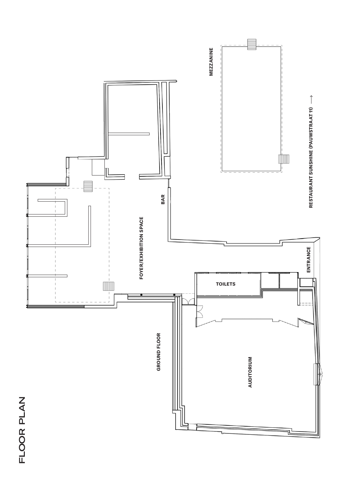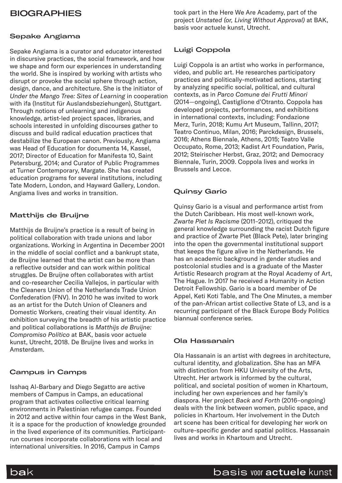# **BIOGRAPHIES**

# Sepake Angiama

Sepake Angiama is a curator and educator interested in discursive practices, the social framework, and how we shape and form our experiences in understanding the world. She is inspired by working with artists who disrupt or provoke the social sphere through action, design, dance, and architecture. She is the initiator of *Under the Mango Tree: Sites of Learning* in cooperation with ifa (Institut für Auslandsbeziehungen), Stuttgart. Through notions of unlearning and indigenous knowledge, artist-led project spaces, libraries, and schools interested in unfolding discourses gather to discuss and build radical education practices that destabilize the European canon. Previously, Angiama was Head of Education for documenta 14, Kassel, 2017; Director of Education for Manifesta 10, Saint Petersburg, 2014; and Curator of Public Programmes at Turner Contemporary, Margate. She has created education programs for several institutions, including Tate Modern, London, and Hayward Gallery, London. Angiama lives and works in transition.

# Matthijs de Bruijne

Matthijs de Bruijne's practice is a result of being in political collaboration with trade unions and labor organizations. Working in Argentina in December 2001 in the middle of social conflict and a bankrupt state, de Bruijne learned that the artist can be more than a reflective outsider and can work within political struggles. De Bruijne often collaborates with artist and co-researcher Cecilia Vallejos, in particular with the Cleaners Union of the Netherlands Trade Union Confederation (FNV). In 2010 he was invited to work as an artist for the Dutch Union of Cleaners and Domestic Workers, creating their visual identity. An exhibition surveying the breadth of his artistic practice and political collaborations is *Matthijs de Bruijne: Compromiso Político* at BAK, basis voor actuele kunst, Utrecht, 2018. De Bruijne lives and works in Amsterdam.

# Campus in Camps

Isshaq Al-Barbary and Diego Segatto are active members of Campus in Camps, an educational program that activates collective critical learning environments in Palestinian refugee camps. Founded in 2012 and active within four camps in the West Bank, it is a space for the production of knowledge grounded in the lived experience of its communities. Participantrun courses incorporate collaborations with local and international universities. In 2016, Campus in Camps

took part in the Here We Are Academy, part of the project *Unstated (or, Living Without Approval)* at BAK, basis voor actuele kunst, Utrecht.

## Luigi Coppola

Luigi Coppola is an artist who works in performance, video, and public art. He researches participatory practices and politically-motivated actions, starting by analyzing specific social, political, and cultural contexts, as in *Parco Comune dei Frutti Minori* (2014—ongoing), Castiglione d'Otranto. Coppola has developed projects, performances, and exhibitions in international contexts, including: Fondazione Merz, Turin, 2018; Kumu Art Museum, Tallinn, 2017; Teatro Continuo, Milan, 2016; Parckdesign, Brussels, 2016; Athens Biennale, Athens, 2015; Teatro Valle Occupato, Rome, 2013; Kadist Art Foundation, Paris, 2012; Steirischer Herbst, Graz, 2012; and Democracy Biennale, Turin, 2009. Coppola lives and works in Brussels and Lecce.

## Quinsy Gario

Quinsy Gario is a visual and performance artist from the Dutch Caribbean. His most well-known work, *Zwarte Piet Is Racisme* (2011–2012), critiqued the general knowledge surrounding the racist Dutch figure and practice of Zwarte Piet (Black Pete), later bringing into the open the governmental institutional support that keeps the figure alive in the Netherlands. He has an academic background in gender studies and postcolonial studies and is a graduate of the Master Artistic Research program at the Royal Academy of Art, The Hague. In 2017 he received a Humanity in Action Detroit Fellowship. Gario is a board member of De Appel, Keti Koti Table, and The One Minutes, a member of the pan-African artist collective State of L3, and is a recurring participant of the Black Europe Body Politics biannual conference series.

### Ola Hassanain

Ola Hassanain is an artist with degrees in architecture, cultural identity, and globalization. She has an MFA with distinction from HKU University of the Arts, Utrecht. Her artwork is informed by the cultural, political, and societal position of women in Khartoum, including her own experiences and her family's diaspora. Her project *Back and Forth* (2016–ongoing) deals with the link between women, public space, and policies in Khartoum. Her involvement in the Dutch art scene has been critical for developing her work on culture-specific gender and spatial politics. Hassanain lives and works in Khartoum and Utrecht.